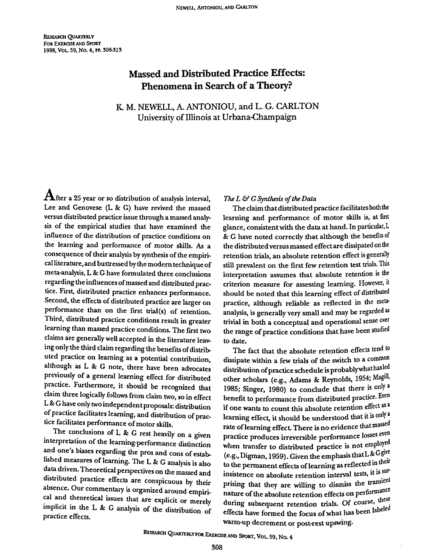RESEARCH QUARTERLY For EXERCISE AND SPORT 1988, VoL. 59, No. 4, pp. 308-313

## Massed and Distributed Practice Effects: Phenomena in Search of a Theory?

K. M. NEWELL, A. ANTONIOU, and L. G. CARLTON University of Illinois at Urbana-Champaign

After a 25 year or so distribution of analysis interval, Lee and Genovese (L & G) have revived the massed versus distributed practice issue through a massed analysis of the empirical studies that have examined the influence of the distribution of practice conditions on the learning and performance of motor skills. As a consequence of their analysis by synthesis of the empirical literature, and buttressed by the modern technique of meta-analysis, L\_ & G have formulated three conclusions regarding the influences of massed and distributed practice. First, distributed practice enhances performance. Second, the effects of distributed practice are larger on performance than on the first trial(s) of retention. Third, distributed practice conditions result in greater learning than massed practice conditions. The first two claims are generally well accepted in the literature leav-<br>ing only the third claim regarding the benefits of distributed practice on learning as a potential contribution, although as L & G note, there have been advocates previously of a general learning effect for distributed practice. Furthermore, it should be recognized that claim three logically follows from claim two, so in effect<br>L & G have only two independent proposals: distribution of practice facilitates learning, and distribution of prac-

The conclusions of L & G rest heavily on a given<br>interpretation of the learning-performance distinction<br>and one's biases regarding the pros and cons of estab-<br>lished measures of learning. The L & G analysis is also<br>data dr

#### The  $L \& G$  Synthesis of the Data

The claim that distributed practice facilitates both the learning and performance of motor skills is, at first glance, consistent with the data at hand. In particular, L & G have noted correctly that although the benefits of the distributed versus massed effect are dissipated on the retention trials, an absolute retention effect is generally still prevalent on the first few retention test trials. This interpretation assumes that absolute retention is the criterion measure for assessing learning. However, it should be noted that this learning effect of distributed practice, although reliable as reflected in the meta analysis, is generally very small and may be regarded as trivial in both a conceptual and operational sense over the range of practice conditions that have been studied to date.

The fact that the absolute retention effects tend to dissipate within a few trials of the switch to a common distribution of practice schedule is probably what has led other scholars (e.g., Adams & Reynolds, 1954; Magill, 1985; Singer, 1980) to conclude that there is only a benefit to performance from distributed practice. Even if one wants to count this absolute retention effect as a learning effect, it should be understood that it is only a<br>rate of learning effect. There is no evidence that <sup>massed</sup> rate of learning effect. There is no evidence that massed<br>practice produces irreversible performance losses even when transfer to distributed practice is not employed (e.g., Digman, 1959). Given the emphasis that  $L \& G$  give to the permanent effects of learning as reflected in their insistence on absolute retention interval tests, it is surprising that they are willing to dismiss the transient nature of the absolute retention effects on performance during subsequent retention trials. Of course, these effects have formed the focus of what has been labeled warm-up decrement or post-rest upswing.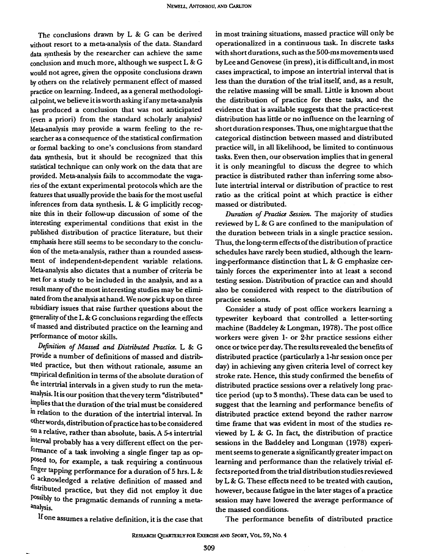The conclusions drawn by L & G can be derived without resort to a meta-analysis of the data. Standard data synthesis by the researcher can achieve the same conclusion and much more, although we suspect L &G would not agree, given the opposite conclusions drawn by others on the relatively permanent effect of massed practice on learning. Indeed, as a general methodological point, we believe itis worth asking ifany meta-analysis has produced a conclusion that was not anticipated (even a priori) from the standard scholarly analysis? Meta-analysis may provide a warm feeling to the researcher as a consequence of the statistical confirmation or formal backing to one's conclusions from standard data synthesis, but it should be recognized that this statistical technique can only work on the data that are provided. Meta-analysis fails to accommodate the vagaties of the extant experimental protocols which are the features that usually provide the basis for the mostuseful inferences from data synthesis. L & G implicitly recognize this in their follow-up discussion of some of the interesting experimental conditions that exist in the published distribution of practice literature, but their emphasis here still seems to be secondary to the conclusion of the meta-analysis, rather than a rounded assessment of independent-dependent variable relations. Meta-analysis also dictates that a number of criteria be met for a study to be included in the analysis, and as a result many of the most interesting studies may be eliminated from the analysis athand. We nowpickup on three subsidiary issues that raise further questions about the generality of the L & G conclusions regarding the effects of massed and distributed practice on the learning and performance of motor skills.

Definition of Massed and Distributed Practice. L & G provide a number of definitions of massed and distributed practice, but then without rationale, assume an empirical definition in terms of the absolute duration of the intertrial intervals in a given study to run the metaanalysis. Itis our position that the very term "distributed" implies that the duration of the trial must be considered in relation to the duration of the intertrial interval. In other words,distribution ofpractice has to be considered on <sup>a</sup> relative, rather than absolute, basis. A 5-s intertrial interval probably has a very different effect on the performance of a task involving a single finger tap as op- Posed to, for example, a task requiring a continuous finger tapping performance for a duration of 5 hrs. L & G acknowledged a relative definition of massed and distributed practice, but they did not employ it due Possibly to the pragmatic demands of running a metaanalysis,

in most training situations, massed practice will only be operationalized in a continuous task. In discrete tasks with short durations, such as the 500-ms movements used by Lee and Genovese(in press), itis difficult and, in most cases impractical, to impose an intertrial interval that is less than the duration of the trial itself, and, as a result, the relative massing will be small. Little is known about the distribution of practice for these tasks, and the evidence that is available suggests that the practice-rest distribution has little or no influence on the learning of short duration responses. Thus, one might argue that the categorical distinction between massed and distributed practice will, in all likelihood, be limited to continuous tasks. Even then, our observation implies that in general it is only meaningful to discuss the degree to which practice is distributed rather than inferring some absolute intertrial interval or distribution of practice to rest ratio as the critical point at which practice is either massed or distributed.

Duration of Practice Session. The majority of studies reviewed by L & G are confined to the manipulation of the duration between trials in a single practice session. Thus, the long-term effects of the distribution of practice schedules have rarely been studied, although the learning-performance distinction that L & G emphasize certainly forces the experimenter into at least a second testing session. Distribution of practice can and should also be considered with respect to the distribution of practice sessions.

Consider a study of post office workers learning a typewriter keyboard that controlled a letter-sorting machine (Baddeley & Longman,1978). The postoffice workers were given 1- or 2-hr practice sessions either once or twice per day. The results revealed the benefits of distributed practice (particularly a 1-hr session once per day) in achieving any given criteria level of correct key any in atmosting any given entertationed the benefits of<br>stroke rate. Hence, this study confirmed the benefits of<br>distributed practice sessions over a relatively long practice period (up to 3 months). These data can be used to suggest that the learning and performance benefits of distributed practice extend beyond the rather narrow time frame that was evident in most of the studies reviewed by L & G. In fact, the distribution of practice sessions in the Baddeley and Longman (1978) experimentseemsto generate <sup>a</sup> significantly greater impact on learning and performance than the relatively trivial effectsreported from the trial distribution studies reviewed by L & G. These effects need to be treated with caution, however, because fatigue in the later stages of a practice session may have lowered the average performance of the massed conditions.

If one assumes a relative definition, it is the case that

The performance benefits of distributed practice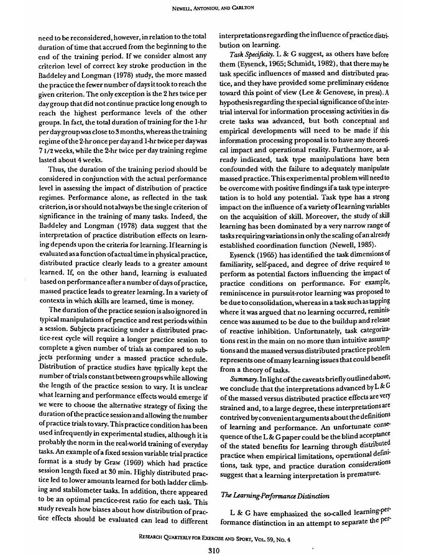need to be reconsidered, however, in relation to the total duration of time that accrued from the beginning to the end of the training period. If we consider almost any criterion level of correct key stroke production in the Baddeley and Longman (1978) study, the more massed the practice the fewer numberofdaysit took to reach the given criterion. The only exception is the 2 hrs twice per day group that did not continue practice long enough to reach the highest performance levels of the other groups. In fact, the total duration of training for the 1-hr per day group wasclose to 3 months,whereasthe training regime of the 2-hronceperdayand 1-hrtwice per daywas 71/2 weeks, while the 2-hr twice per day training regime lasted about 4 weeks.

Thus, the duration of the training period should be considered in conjunction with the actual performance level in assessing the impact of distribution of practice regimes. Performance alone, as reflected in the task criterion, is or should not always be the single criterion of significance in the training of many tasks. Indeed, the Baddeley and Longman (1978) data suggest that the interpretation of practice distribution effects on Jearning depends upon the criteria for learning. If learning is evaluated as a function of actual time in physical practice, distributed practice clearly leads to a greater amount learned. If, on the other hand, learning is evaluated based on performanceafter a numberofdays of practice, massed practice leads to greater learning. In a variety of contexts in which skills are learned, time is money.

The duration of the practice session is also ignored in typical manipulations of practice and rest periods within a session. Subjects practicing under a distributed practice-rest cycle will require a longer practice session to complete a given number of trials as compared to subjects performing under a massed practice schedule. Distri interpretations regarding the influence of practice distribution on learning.

Task Specificity. L & G suggest, as others have before them (Eysenck, 1965; Schmidt, 1982), that there may be task specific influences of massed and distributed practice, and they have provided some preliminary evidence toward this point of view (Lee & Genovese, in press). A hypothesis regarding the special significance of the intertrial interval for information processingactivities in discrete tasks was advanced, but both conceptual and empirical developments will need to be made if this information processing proposal is to have any theoretical impact and operational reality. Furthermore, as already indicated, task type manipulations have been confounded with the failure to adequately manipulate massed practice. This experimental problem will need to be overcomewith positive findingsifa task type interpretation is to hold any potential. Task type has a strong impact on the influence of a variety of learning variables on the acquisition of skill. Moreover, the study of skill learning has been dominated by a very narrow range of tasks requiringvariationsinonly the scaling ofanalready established coordination function (Newell, 1985).

Eysenck (1965) has identified the task dimensions of familiarity, self-paced, and degree of drive required to perform as potential factors influencing the impact of practice conditions on performance. For example, reminiscence in pursuit-rotor learning was proposed to be due to consolidation, whereas in a task suchas tapping where it was argued that no learning occurred, reminiscence was assumed to be due to the buildup and release of reactive inhibition. Unfortunately, task categoriza tions rest in the main on no more than intuitive assumptions and the massed versus distributed practice problem represents one ofmanylearningissues that could benefit from a theory of tasks.

Summary. In light of the caveats briefly outlined above, we conclude that the interpretations advanced by  $L \&G$ of the massed versus distributed practice effects are very strained and, to a large degree, these interpretations are contrived byconvenientarguments aboutthe definitions of learning and performance. An unfortunate conse quence of the L & G paper could be the blind acceptance of the stated benefits for learning through distributed practice when empirical limitations, operational defint tions, task type, and practice duration considerations suggest that a learning interpretation is premature.

### The Learning-Performance Distinction

L & G have emphasized the so-called learning-performance distinction in an attempt to separate the per-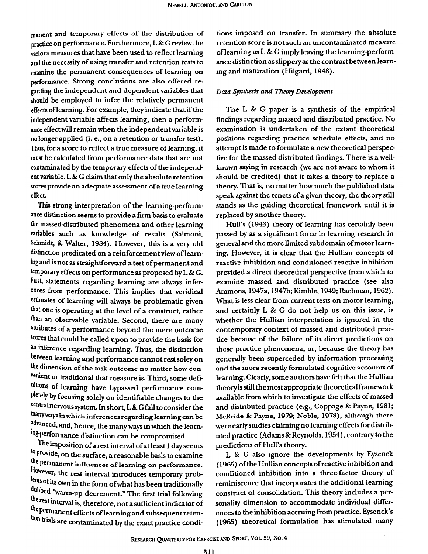manent and temporary effects of the distribution of<br>practice on performance. Furthermore, L & G review the practice on performance. Furthermore,  $L < G$  review the various measures that have been used to reflect learning and the necessity of using transfer and retention tests to examine the permanent consequences of learning on performance. Strong conclusions are also offered regarding the independent and dependent variables that should be employed to infer the relatively permanent effects of learning. For example, they indicate that if the independent variable affects learning, then a performance effect will remain when the independent variable is no longer applied (i. e., on a retention or transfer test). Thus, for a score to reflect a true measure of learning, it must be calculated from performance data that are not contaminated by the temporary effects of the independent variable.  $L & G$  claim that only the absolute retention scores provide an adequate assessmentofa true learning effect.

This strong interpretation of the learning-perform-ance distinction seemsto provideafirm basis to evaluate ance distinction seems to provide a firm basis to evaluate<br>the massed-distributed phenomena and other learning variables such as knowledge of results (Salmoni, Schmidt, & Walter, 1984). However, this is a very old distinction predicated on a reinforcement view of learning and is not as straightforward a test of permanent and temporary effects on performance as proposed by L & G. First, statements regarding learning are always inferences from performance. This implies that veridical estimates of learning will always be problematic given that one is operating at the level of a construct, rather than an observable variable. Second, there are many attributes of a performance beyond the mere outcome «ores that could be called upon to provide the basis for an inference regarding learning. Thus, the distinction between learning and performance cannot rest soley on the dimension of the task outcome no matter how convenient or traditional that measure is. Third, some definitions of learning have bypassed performance completely by focusing solely on identifiable changes to the  $c$ entral nervous system. In short, L & G fail to consider the many ways in which inferences regarding learning can be advanced, and, hence, the many ways in which the learning-performance distinction can be compromised.<br>The imposition of a rest interval of at least 1 day seems

o provide, on the surface, a reasonable basis to examine the permanent influences of learning on performance. However, the rest interval introduces temporary problems of its own in the form of what has been traditionally dubbed "warm-up decrement." The first trial following the rest interval is, therefore, not a sufficient indicator of<br>the permanent effects of learning and subsequent retenthe permanent effects of learning and subsequent retention trials are contaminated by the exact practice condi-

tions imposed on transfer. In summary the absolute retention score is not such an uncontaminated measure of learning as L & G imply leaving the learning-performance distinction as slippery as the contrast between learning and maturation (Hilgard, 1948).

#### Data Synthesis and Theory Development

The  $L$  &  $G$  paper is a synthesis of the empirical findings regarding massed and distributed practice. No examination is undertaken of the extant theoretical positions regarding practice schedule effects, and no attempt is made to formulate a new theoretical perspective for the massed-distributed findings. There is a wellknown saying in research (we are not aware to whom it should be credited) that it takes a theory to replace a theory. That is, no matter how much the published data speak against the tenets of a given theory, the theory still stands as the guiding theoretical framework until it is replaced by another theory.

Hull's (1943) theory of learning has certainly been passed by as a significant force in learning research in general and the morelimited subdomain ofmotorlearning. However, it is clear that the Hullian concepts of reactive inhibition and conditioned reactive inhibition provided a direct theoretical perspective from which to examine massed and distributed practice (see also Ammons, 1947a, 194'7b; Kimble, 1949; Rachman, 1962). What is less clear from current tests on motor learning, and certainly  $L \& G$  do not help us on this issue, is whether the Hullian interpretation is ignored in the contemporary context of massed and distributed practice because of the failure of its direct predictions on these practice phenomena, or, because the theory has generally been superceded by information processing and the more recently formulated cognitive accounts of learning. Clearly, some authors have felt that the Hullian theoryisstill the most appropriate theoretical framework available from which to investigate the effects of massed and distributed practice (e.g., Coppage & Payne, 1981; McBride & Payne, 1979; Noble, 1978), although there were early studies claiming no learning effects for distrib-<br>uted practice (Adams & Reynolds, 1954), contrary to the predictions of Hull's theory.

L & G also ignore the developments by Eysenck (1965) ofthe Hullian concepts ofreactive inhibition and conditioned inhibition into a three-factor theory of reminiscence that incorporates the additional learning construct of consolidation. This theory includesa perconstruct of consolidation. This theory includes a personality dimension to accommodate individual differences to the inhibition accruing from practice. Eysenck's (1965) theoretical formulation has stimulated many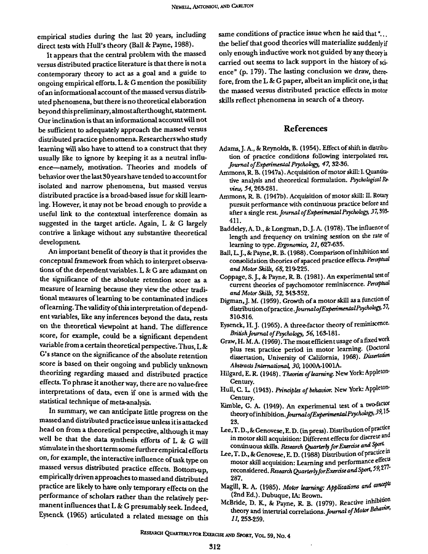empirical studies during the last 20 years, including direct tests with Hull's theory (Ball & Payne, 1988).

It appears that the central problem with the massed versus distributed practice literature is that there is not a contemporary theory to act as a goal and a guide to ongoing empirical efforts. L & G mention the possibility of an informational account of the massed versus distributed phenomena, but there is no theoretical elaboration beyond this preliminary, almost after thought, statement. Our inclination is that an informational account will not be sufficient to adequately approach the massed versus distributed practice phenomena. Researcherswho study learningwill also have to attend to a construct that they usually like to ignore by keeping it as a neutral influence—namely, motivation. Theories and models of behavior over the last 30 years have tended to account for isolated and narrow phenomena, but massed versus distributed practice is a broad-basedissue forskill learning. However, it may not be broad enough to provide a useful link to the contextual interference domain as suggested in the target article. Again, L & G largely contrive a linkage without any substantive theoretical development.

An important benefit of theory is that it provides the conceptual framework from which to interpret observations of the dependentvariables. L & G are adamant on the significance of the absolute retention score as a measure of learning because they view the other traditional measures of learning to be contaminated indices of learning. The validity of this interpretation of dependent variables, like any inferences beyond the data, rests on the theoretical viewpoint at hand. The difference score, for example, could be significant dependent variable from a certain theoretical perspective. Thus, L & G's stance on the significance of the absolute retention score is based on their ongoing and publicly unknown theorizing regarding massed and distributed practice effects. To phrase it another way, there are no value-free interpretations of data, even if one is armed with the statistical technique of meta-analysis.

In summary, we can anticipate little progress on the massed and distributed practice issue unless it is attacked head on from a theoretical perspective, although it may well be that the data synthesis efforts of <sup>L</sup> & <sup>G</sup> will stimulatein the short term somefurther empirical efforts on, for example, the interactive influence of task type on massed versus distributed practice effects. Bottom-up, empirically driven approaches to massed and distributed<br>practice are likely to have only temporary effects on the performance of scholars rather than the relatively per-<br>manent influences that L & G presumably seek. Indeed,<br>Eysenck (1965) articulated a related message on this same conditions of practice issue when he said that "... the belief that good theories will materialize suddenlyif only enough inductive work not guided by anytheory is carried out seems to lack support in the history of science" (p. 179). The lasting conclusion we draw, therefore, from the L & G paper, albeit an implicit one, is that the massed versus distributed practice effects in motor skills reflect phenomena in search of a theory.

#### References

- Adams,J. A., & Reynolds, B. (1954). Effect of shift in distribution of practice conditions following interpolated rest. Journal ofExperimental Psychology, 47, 32-36.
- Ammons, R. B. (1947a). Acquisition of motor skill: I. Quantitative analysis and theoretical formulation. Psychological Re view, 54, 263-281.
- Ammons, R. B. (1947b). Acquisition of motorskill: II. Rotary pursuit performance with continuous practice before and after a single rest. Journal of Experimental Psychology, 37, 393-411.
- Baddeley, A. D., & Longman, D. J. A. (1978). The influence of length and frequency on training session on the rate of learning to type. Ergonomics, 21, 627-635.
- Ball, L.J., &Payne, R. B. (1988). Comparison ofinhibition and consolidation theories of spaced practice effects. Perceptual and Motor Skills, 68, 219-225.
- Coppage,S.J., & Payne, R. B. (1981). An experimental test of current theories of psychomotor reminiscence. Perceptual and Motor Skills, 52, 343-352. .
- Digman,J. M. (1959). Growth of a motorskill as a function of distribution ofpractice.JournalofExperimentalPsychology, 57, 310-316. ;
- Eysenck, H.J. (1965). A three-factor theory of reminiscence. British Journal of Psychology, 56, 163-181.
- Graw, H. M.A.(1969). The mostefficient usage ofa fixed work plus rest practice period in motor learning. (Doctoral dissertation, University of California, 1968). Dissertation Abstracts International, 30, 1000A-1001A.
- Hilgard, E.R. (1948). Theories of learning. New York: Appleton-Century.
- Hull, C. L. (1943). Principles of behavior. New York: Appleton-<br>Century.<br>Kimble, G. A. (1949). An experimental test of a two-factor
- Century.<br>Kimble, G. A. (1949). An experimental test of a two-factor theory of inhibition. Journal of Experimental Psychology, 39, 15-23.
- Lee, T.D., & Genovese, E.D. (in press). Distribution of practice in motorskill acquisition: Different effects for discrete an continuous skills. Research Quarterly for Exercise and Sport.
- Lee, T. D., & Genovese, E. D. (1988) Distribution of practice in<br>motor skill acquisition: Learning and performance effects motor skill acquisition: Learning and performance effects<br>reconsidered. Research Quarterly for Exercise and Sport, 59,277-287.
- Magill, R. A. (1985). Motor learning: Applications and concepts  $(2nd Ed.)$ . Dubuque, IA: Brown.
- (2nd Ed.). Dubuque, IA: Brown.<br>McBride, D. K., & Payne, R. B. (1979). Reactive inhibition theory and intertrial correlations. Journal of Motor Behavior, 11, 253-259.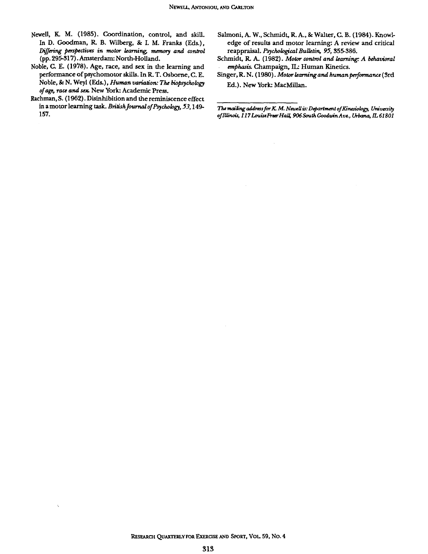- Newell, K. M. (1985). Coordination, control, and skill. In D. Goodman, R. B. Wilberg, & I. M. Franks (Eds.), Differing perspectives in motor learning, memory and control (pp. 295-317). Amsterdam: North-Holland.
- Noble, C. E. (1978). Age, race, and sex in the learning and performance of psychomotor skills. In R. T. Osborne, C. E. Noble, & N. Weyl (Eds.), Human variation: The biopsychology ofage, race and sex. New York: Academic Press,
- Rachman, S. (1962). Disinhibition and the reminiscence effect in a motor learning task. British Journal of Psychology, 53, 149-157.
- Salmoni, A. W., Schmidt, R. A., & Walter, C. B. (1984). Knowl edge of results and motor learning: A review and critical reappraisal. Psychological Bulletin, 95, 355-386.
- Schmidt, R. A. (1982). Motor control and learning: A behavioral emphasis. Champaign, IL: Human Kinetics.
- Singer, R. N. (1980). Motor learning and human performance (3rd Ed.). New York: MacMillan.

The mailing address for K. M. Newell is: Department of Kinesiology, University of Illinois, 117 Louise Freer Hall, 906 South Goodwin Ave., Urbana, IL 61801